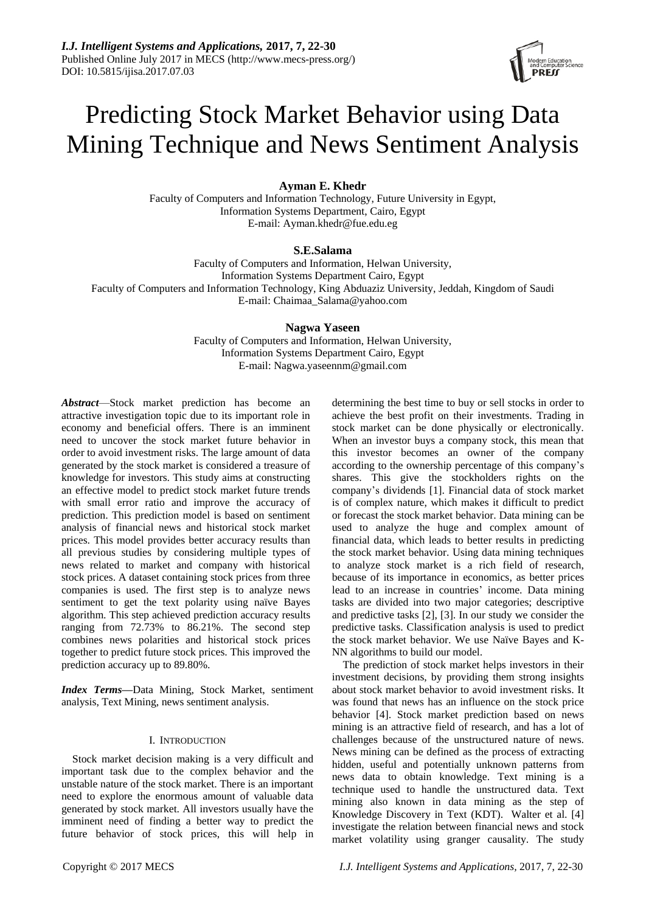# Predicting Stock Market Behavior using Data Mining Technique and News Sentiment Analysis

# **Ayman E. Khedr**

Faculty of Computers and Information Technology, Future University in Egypt, Information Systems Department, Cairo, Egypt E-mail: Ayman.khedr@fue.edu.eg

# **S.E.Salama**

Faculty of Computers and Information, Helwan University, Information Systems Department Cairo, Egypt Faculty of Computers and Information Technology, King Abduaziz University, Jeddah, Kingdom of Saudi E-mail: Chaimaa\_Salama@yahoo.com

# **Nagwa Yaseen**

Faculty of Computers and Information, Helwan University, Information Systems Department Cairo, Egypt E-mail: Nagwa.yaseennm@gmail.com

*Abstract*—Stock market prediction has become an attractive investigation topic due to its important role in economy and beneficial offers. There is an imminent need to uncover the stock market future behavior in order to avoid investment risks. The large amount of data generated by the stock market is considered a treasure of knowledge for investors. This study aims at constructing an effective model to predict stock market future trends with small error ratio and improve the accuracy of prediction. This prediction model is based on sentiment analysis of financial news and historical stock market prices. This model provides better accuracy results than all previous studies by considering multiple types of news related to market and company with historical stock prices. A dataset containing stock prices from three companies is used. The first step is to analyze news sentiment to get the text polarity using naïve Bayes algorithm. This step achieved prediction accuracy results ranging from 72.73% to 86.21%. The second step combines news polarities and historical stock prices together to predict future stock prices. This improved the prediction accuracy up to 89.80%.

*Index Terms—*Data Mining, Stock Market, sentiment analysis, Text Mining, news sentiment analysis.

# I. INTRODUCTION

Stock market decision making is a very difficult and important task due to the complex behavior and the unstable nature of the stock market. There is an important need to explore the enormous amount of valuable data generated by stock market. All investors usually have the imminent need of finding a better way to predict the future behavior of stock prices, this will help in achieve the best profit on their investments. Trading in stock market can be done physically or electronically. When an investor buys a company stock, this mean that this investor becomes an owner of the company according to the ownership percentage of this company's shares. This give the stockholders rights on the company's dividends [1]. Financial data of stock market is of complex nature, which makes it difficult to predict or forecast the stock market behavior. Data mining can be used to analyze the huge and complex amount of financial data, which leads to better results in predicting the stock market behavior. Using data mining techniques to analyze stock market is a rich field of research, because of its importance in economics, as better prices lead to an increase in countries' income. Data mining tasks are divided into two major categories; descriptive and predictive tasks [2], [3]. In our study we consider the predictive tasks. Classification analysis is used to predict the stock market behavior. We use Na ve Bayes and K-NN algorithms to build our model.

determining the best time to buy or sell stocks in order to

The prediction of stock market helps investors in their investment decisions, by providing them strong insights about stock market behavior to avoid investment risks. It was found that news has an influence on the stock price behavior [4]. Stock market prediction based on news mining is an attractive field of research, and has a lot of challenges because of the unstructured nature of news. News mining can be defined as the process of extracting hidden, useful and potentially unknown patterns from news data to obtain knowledge. Text mining is a technique used to handle the unstructured data. Text mining also known in data mining as the step of Knowledge Discovery in Text (KDT). Walter et al. [4] investigate the relation between financial news and stock market volatility using granger causality. The study

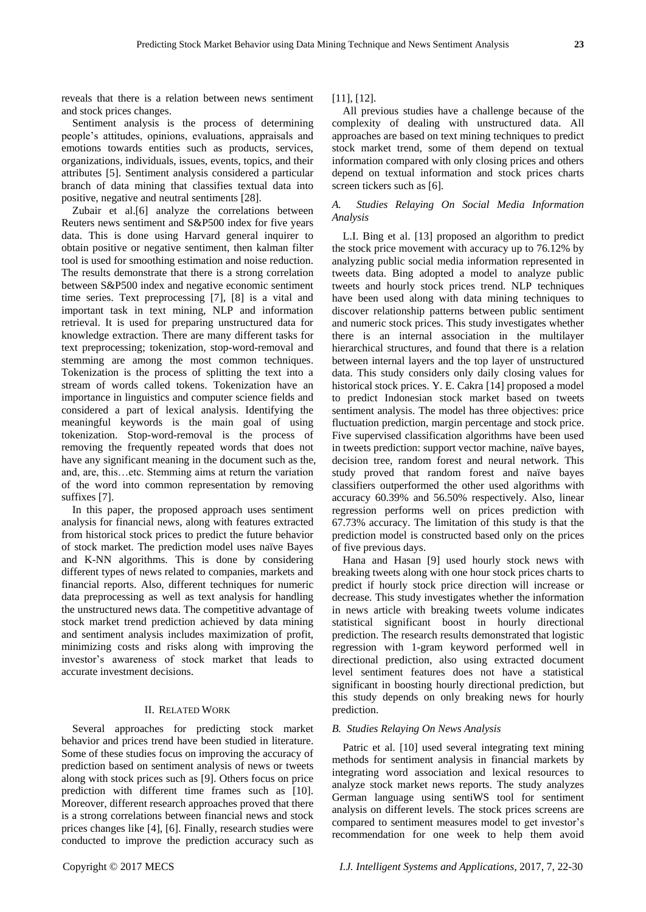reveals that there is a relation between news sentiment and stock prices changes.

Sentiment analysis is the process of determining people's attitudes, opinions, evaluations, appraisals and emotions towards entities such as products, services, organizations, individuals, issues, events, topics, and their attributes [5]. Sentiment analysis considered a particular branch of data mining that classifies textual data into positive, negative and neutral sentiments [28].

Zubair et al.[6] analyze the correlations between Reuters news sentiment and S&P500 index for five years data. This is done using Harvard general inquirer to obtain positive or negative sentiment, then kalman filter tool is used for smoothing estimation and noise reduction. The results demonstrate that there is a strong correlation between S&P500 index and negative economic sentiment time series. Text preprocessing [7], [8] is a vital and important task in text mining, NLP and information retrieval. It is used for preparing unstructured data for knowledge extraction. There are many different tasks for text preprocessing; tokenization, stop-word-removal and stemming are among the most common techniques. Tokenization is the process of splitting the text into a stream of words called tokens. Tokenization have an importance in linguistics and computer science fields and considered a part of lexical analysis. Identifying the meaningful keywords is the main goal of using tokenization. Stop-word-removal is the process of removing the frequently repeated words that does not have any significant meaning in the document such as the, and, are, this…etc. Stemming aims at return the variation of the word into common representation by removing suffixes [7].

In this paper, the proposed approach uses sentiment analysis for financial news, along with features extracted from historical stock prices to predict the future behavior of stock market. The prediction model uses naïve Bayes and K-NN algorithms. This is done by considering different types of news related to companies, markets and financial reports. Also, different techniques for numeric data preprocessing as well as text analysis for handling the unstructured news data. The competitive advantage of stock market trend prediction achieved by data mining and sentiment analysis includes maximization of profit, minimizing costs and risks along with improving the investor's awareness of stock market that leads to accurate investment decisions.

## II. RELATED WORK

Several approaches for predicting stock market behavior and prices trend have been studied in literature. Some of these studies focus on improving the accuracy of prediction based on sentiment analysis of news or tweets along with stock prices such as [9]. Others focus on price prediction with different time frames such as [10]. Moreover, different research approaches proved that there is a strong correlations between financial news and stock prices changes like [4], [6]. Finally, research studies were conducted to improve the prediction accuracy such as

[11], [12].

All previous studies have a challenge because of the complexity of dealing with unstructured data. All approaches are based on text mining techniques to predict stock market trend, some of them depend on textual information compared with only closing prices and others depend on textual information and stock prices charts screen tickers such as [6].

# *A. Studies Relaying On Social Media Information Analysis*

L.I. [Bing et al.](file:///E:/master/my%20writing%20nagwa%2026-1-2015/17-10/text%20mining%20%20papers%202016/Public%20Sentiment%20Analysis%20in%20Twitter%20Data%20for%20stock%20market%202014.pdf) [13] proposed an algorithm to predict the stock price movement with accuracy up to 76.12% by analyzing public social media information represented in tweets data. Bing adopted a model to analyze public tweets and hourly stock prices trend. NLP techniques have been used along with data mining techniques to discover relationship patterns between public sentiment and numeric stock prices. This study investigates whether there is an internal association in the multilayer hierarchical structures, and found that there is a relation between internal layers and the top layer of unstructured data. This study considers only daily closing values for historical stock prices. Y. E. Cakra [14] proposed a model to predict Indonesian stock market based on tweets sentiment analysis. The model has three objectives: price fluctuation prediction, margin percentage and stock price. Five supervised classification algorithms have been used in tweets prediction: support vector machine, na we bayes, decision tree, random forest and neural network. This study proved that random forest and naïve bayes classifiers outperformed the other used algorithms with accuracy 60.39% and 56.50% respectively. Also, linear regression performs well on prices prediction with 67.73% accuracy. The limitation of this study is that the prediction model is constructed based only on the prices of five previous days.

Hana and Hasan [9] used hourly stock news with breaking tweets along with one hour stock prices charts to predict if hourly stock price direction will increase or decrease. This study investigates whether the information in news article with breaking tweets volume indicates statistical significant boost in hourly directional prediction. The research results demonstrated that logistic regression with 1-gram keyword performed well in directional prediction, also using extracted document level sentiment features does not have a statistical significant in boosting hourly directional prediction, but this study depends on only breaking news for hourly prediction.

# *B. Studies Relaying On News Analysis*

[Patric et al.](file:///E:/master/my%20writing%20nagwa%2026-1-2015/17-10/text%20mining%20%20papers%202016/news%20sentiment%20anaysis/Sentiment%20Analysis%20in%20Financial%20Markets%202014.pdf) [10] used several integrating text mining methods for sentiment analysis in financial markets by integrating word association and lexical resources to analyze stock market news reports. The study analyzes German language using sentiWS tool for sentiment analysis on different levels. The stock prices screens are compared to sentiment measures model to get investor's recommendation for one week to help them avoid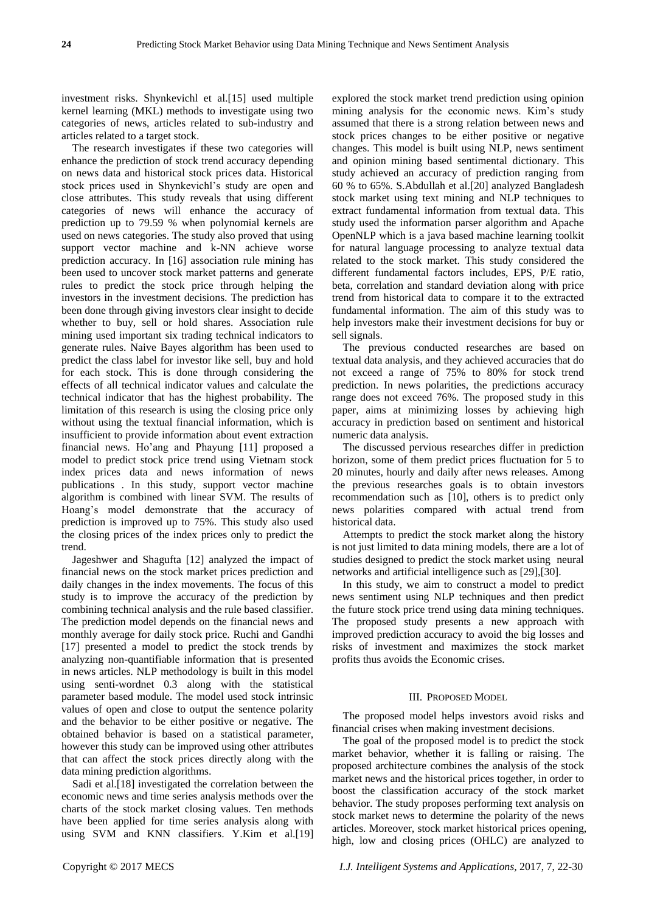investment risks. [Shynkevichl et al.](file:///E:/master/my%20writing%20nagwa%2026-1-2015/17-10/text%20mining%20%20papers%202016/1-5-2016/Stock%20Price%20Prediction%20based%20on%20Stock-Specific%20and%202015.pdf)[15] used multiple kernel learning (MKL) methods to investigate using two categories of news, articles related to sub-industry and articles related to a target stock.

The research investigates if these two categories will enhance the prediction of stock trend accuracy depending on news data and historical stock prices data. Historical stock prices used in Shynkevichl's study are open and close attributes. This study reveals that using different categories of news will enhance the accuracy of prediction up to 79.59 % when polynomial kernels are used on news categories. The study also proved that using support vector machine and k-NN achieve worse prediction accuracy. [In](file:///E:/master/my%20writing%20nagwa%2026-1-2015/text%20mining%20%20papers%202016/news%20sentiment%20anaysis/Using%20Association%20Rule%20Mining%20Stock%20Market%202013.pdf) [16] association rule mining has been used to uncover stock market patterns and generate rules to predict the stock price through helping the investors in the investment decisions. The prediction has been done through giving investors clear insight to decide whether to buy, sell or hold shares. Association rule mining used important six trading technical indicators to generate rules. Naive Bayes algorithm has been used to predict the class label for investor like sell, buy and hold for each stock. This is done through considering the effects of all technical indicator values and calculate the technical indicator that has the highest probability. The limitation of this research is using the closing price only without using the textual financial information, which is insufficient to provide information about event extraction financial news. [Ho'ang and Phayung \[](file:///E:/master/my%20writing%20nagwa%2026-1-2015/17-10/text%20mining%20%20papers%202016/27-4-2016/Stock%20Market%20Trend%20Prediction%20Based%20on%20Text%20Mining%20of%20Corporate2013.pdf)11] proposed a model to predict stock price trend using Vietnam stock index prices data and news information of news publications . In this study, support vector machine algorithm is combined with linear SVM. The results of Hoang's model demonstrate that the accuracy of prediction is improved up to 75%. This study also used the closing prices of the index prices only to predict the trend.

[Jageshwer and Shagufta](file:///E:/master/my%20writing%20nagwa%2026-1-2015/17-10/text%20mining%20%20papers%202016/Using%20Text%20Mining%20and%20Rule%20Based%20Technique%20for%20Prediction%20of%202014.pdf) [12] analyzed the impact of financial news on the stock market prices prediction and daily changes in the index movements. The focus of this study is to improve the accuracy of the prediction by combining technical analysis and the rule based classifier. The prediction model depends on the financial news and monthly average for daily stock price. [Ruchi and Gandhi](file:///E:/master/my%20writing%20nagwa%2026-1-2015/17-10/text%20mining%20%20papers%202016/news%20sentiment%20anaysis/Stock%20Market%20Prediction%20Using%20Data%20Mining2014.pdf) [17] presented a model to predict the stock trends by analyzing non-quantifiable information that is presented in news articles. NLP methodology is built in this model using senti-wordnet 0.3 along with the statistical parameter based module. The model used stock intrinsic values of open and close to output the sentence polarity and the behavior to be either positive or negative. The obtained behavior is based on a statistical parameter, however this study can be improved using other attributes that can affect the stock prices directly along with the data mining prediction algorithms.

[Sadi et al.\[](file:///E:/master/my%20writing%20nagwa%2026-1-2015/17-10/text%20mining%20%20papers%202016/TIME%20SERIES%20ANALYSIS%20ON%20STOCK%20MARKET%20FOR%20TEXT%20MINING%202014.pdf)18] investigated the correlation between the economic news and time series analysis methods over the charts of the stock market closing values. Ten methods have been applied for time series analysis along with using SVM and KNN classifiers. [Y.Kim et al.](file:///E:/master/my%20writing%20nagwa%2026-1-2015/text%20mining%20%20papers%202016/Text%20Opinion%20Mining%20to%20Analyze%20News%20for%202014.pdf)[19] explored the stock market trend prediction using opinion mining analysis for the economic news. Kim's study assumed that there is a strong relation between news and stock prices changes to be either positive or negative changes. This model is built using NLP, news sentiment and opinion mining based sentimental dictionary. This study achieved an accuracy of prediction ranging from 60 % to 65%. [S.Abdullah et al.\[](file:///E:/master/my%20writing%20nagwa%2026-1-2015/text%20mining%20%20papers%202016/Analysis%20of%20Stock%20Market%20using%20Text%20Mining%20and%20NLP%202013.pdf)20] analyzed Bangladesh stock market using text mining and NLP techniques to extract fundamental information from textual data. This study used the information parser algorithm and Apache OpenNLP which is a java based machine learning toolkit for natural language processing to analyze textual data related to the stock market. This study considered the different fundamental factors includes, EPS, P/E ratio, beta, correlation and standard deviation along with price trend from historical data to compare it to the extracted fundamental information. The aim of this study was to help investors make their investment decisions for buy or sell signals.

The previous conducted researches are based on textual data analysis, and they achieved accuracies that do not exceed a range of 75% to 80% for stock trend prediction. In news polarities, the predictions accuracy range does not exceed 76%. The proposed study in this paper, aims at minimizing losses by achieving high accuracy in prediction based on sentiment and historical numeric data analysis.

The discussed pervious researches differ in prediction horizon, some of them predict prices fluctuation for 5 to 20 minutes, hourly and daily after news releases. Among the previous researches goals is to obtain investors recommendation such as [10], others is to predict only news polarities compared with actual trend from historical data.

Attempts to predict the stock market along the history is not just limited to data mining models, there are a lot of studies designed to predict the stock market using neural networks and artificial intelligence such as [29],[30].

In this study, we aim to construct a model to predict news sentiment using NLP techniques and then predict the future stock price trend using data mining techniques. The proposed study presents a new approach with improved prediction accuracy to avoid the big losses and risks of investment and maximizes the stock market profits thus avoids the Economic crises.

#### III. PROPOSED MODEL

The proposed model helps investors avoid risks and financial crises when making investment decisions.

The goal of the proposed model is to predict the stock market behavior, whether it is falling or raising. The proposed architecture combines the analysis of the stock market news and the historical prices together, in order to boost the classification accuracy of the stock market behavior. The study proposes performing text analysis on stock market news to determine the polarity of the news articles. Moreover, stock market historical prices opening, high, low and closing prices (OHLC) are analyzed to

Copyright © 2017 MECS *I.J. Intelligent Systems and Applications,* 2017, 7, 22-30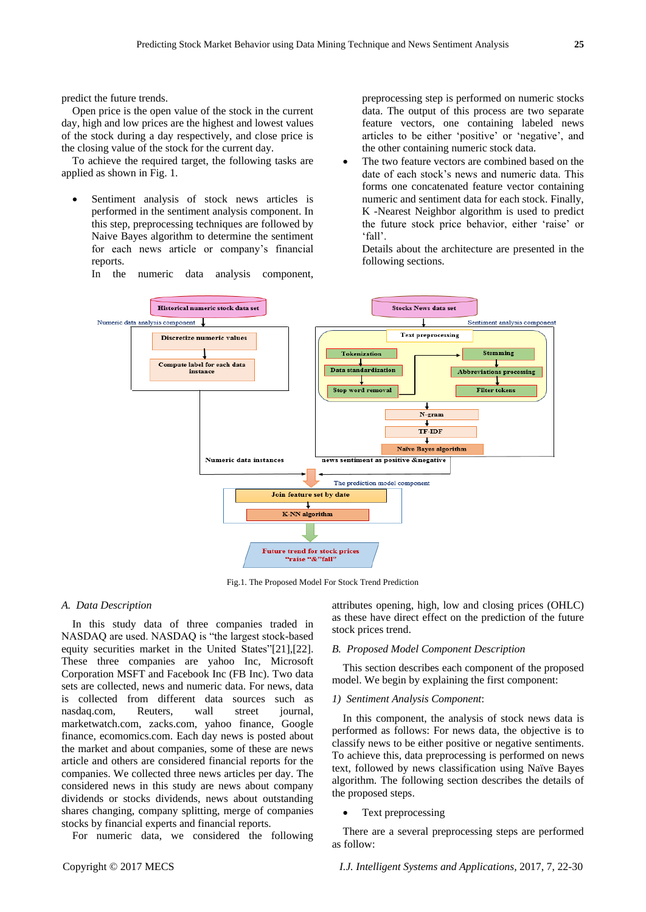predict the future trends.

Open price is the open value of the stock in the current day, high and low prices are the highest and lowest values of the stock during a day respectively, and close price is the closing value of the stock for the current day.

To achieve the required target, the following tasks are applied as shown in Fig. 1.

 Sentiment analysis of stock news articles is performed in the sentiment analysis component. In this step, preprocessing techniques are followed by Naive Bayes algorithm to determine the sentiment for each news article or company's financial reports.

In the numeric data analysis component,

preprocessing step is performed on numeric stocks data. The output of this process are two separate feature vectors, one containing labeled news articles to be either 'positive' or 'negative', and the other containing numeric stock data.

 The two feature vectors are combined based on the date of each stock's news and numeric data. This forms one concatenated feature vector containing numeric and sentiment data for each stock. Finally, K -Nearest Neighbor algorithm is used to predict the future stock price behavior, either 'raise' or ‗fall'.

Details about the architecture are presented in the following sections.



Fig.1. The Proposed Model For Stock Trend Prediction

#### *A. Data Description*

In this study data of three companies traded in NASDAQ are used. NASDAQ is "the largest stock-based equity securities market in the United States"[21],[22]. These three companies are yahoo Inc, Microsoft Corporation MSFT and Facebook Inc (FB Inc). Two data sets are collected, news and numeric data. For news, data is collected from different data sources such as nasdaq.com, Reuters, wall street journal, marketwatch.com, zacks.com, yahoo finance, Google finance, ecomomics.com. Each day news is posted about the market and about companies, some of these are news article and others are considered financial reports for the companies. We collected three news articles per day. The considered news in this study are news about company dividends or stocks dividends, news about outstanding shares changing, company splitting, merge of companies stocks by financial experts and financial reports.

For numeric data, we considered the following

attributes opening, high, low and closing prices (OHLC) as these have direct effect on the prediction of the future stock prices trend.

## *B. Proposed Model Component Description*

This section describes each component of the proposed model. We begin by explaining the first component:

## *1) Sentiment Analysis Component*:

In this component, the analysis of stock news data is performed as follows: For news data, the objective is to classify news to be either positive or negative sentiments. To achieve this, data preprocessing is performed on news text, followed by news classification using Na  $\ddot{v}$ e Bayes algorithm. The following section describes the details of the proposed steps.

#### Text preprocessing

There are a several preprocessing steps are performed as follow: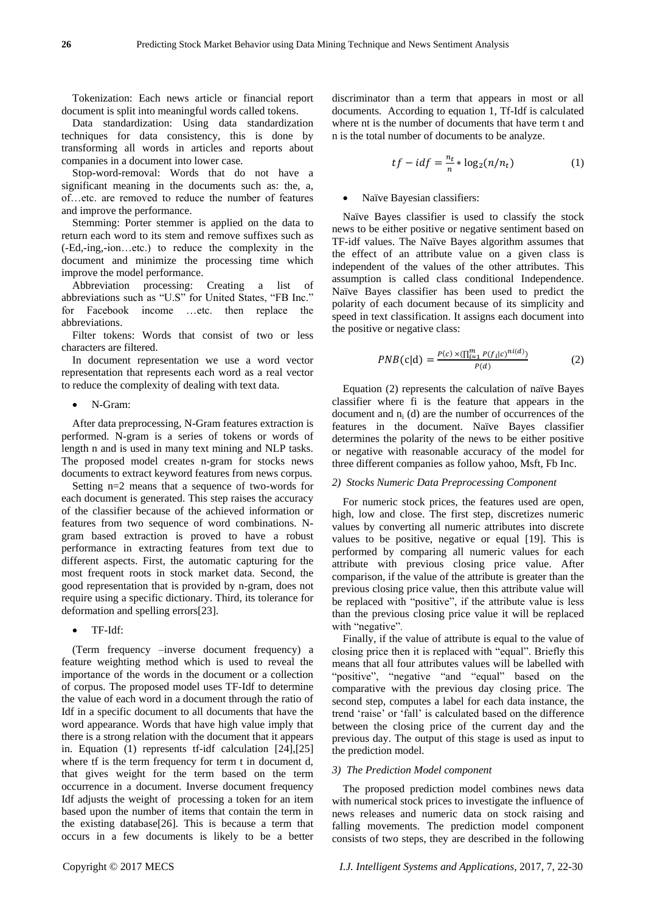Tokenization: Each news article or financial report document is split into meaningful words called tokens.

Data standardization: Using data standardization techniques for data consistency, this is done by transforming all words in articles and reports about companies in a document into lower case.

Stop-word-removal: Words that do not have a significant meaning in the documents such as: the, a, of…etc. are removed to reduce the number of features and improve the performance.

Stemming: Porter stemmer is applied on the data to return each word to its stem and remove suffixes such as (-Ed,-ing,-ion…etc.) to reduce the complexity in the document and minimize the processing time which improve the model performance.

Abbreviation processing: Creating a list of abbreviations such as "U.S" for United States, "FB Inc." for Facebook income …etc. then replace the abbreviations.

Filter tokens: Words that consist of two or less characters are filtered.

In document representation we use a word vector representation that represents each word as a real vector to reduce the complexity of dealing with text data.

N-Gram:

After data preprocessing, N-Gram features extraction is performed. N-gram is a series of tokens or words of length n and is used in many text mining and NLP tasks. The proposed model creates n-gram for stocks news documents to extract keyword features from news corpus.

Setting n=2 means that a sequence of two-words for each document is generated. This step raises the accuracy of the classifier because of the achieved information or features from two sequence of word combinations. Ngram based extraction is proved to have a robust performance in extracting features from text due to different aspects. First, the automatic capturing for the most frequent roots in stock market data. Second, the good representation that is provided by n-gram, does not require using a specific dictionary. Third, its tolerance for deformation and spelling errors[23].

TF-Idf:

(Term frequency –inverse document frequency) a feature weighting method which is used to reveal the importance of the words in the document or a collection of corpus. The proposed model uses TF-Idf to determine the value of each word in a document through the ratio of Idf in a specific document to all documents that have the word appearance. Words that have high value imply that there is a strong relation with the document that it appears in. Equation (1) represents tf-idf calculation [24],[25] where tf is the term frequency for term t in document d, that gives weight for the term based on the term occurrence in a document. Inverse document frequency Idf adjusts the weight of processing a token for an item based upon the number of items that contain the term in the existing database[26]. This is because a term that occurs in a few documents is likely to be a better

discriminator than a term that appears in most or all documents. According to equation 1, Tf-Idf is calculated where nt is the number of documents that have term t and n is the total number of documents to be analyze.

$$
tf - idf = \frac{n_t}{n} * \log_2(n/n_t)
$$
 (1)

## Na we Bayesian classifiers:

Naïve Bayes classifier is used to classify the stock news to be either positive or negative sentiment based on TF-idf values. The Na ive Bayes algorithm assumes that the effect of an attribute value on a given class is independent of the values of the other attributes. This assumption is called class conditional Independence. Naïve Bayes classifier has been used to predict the polarity of each document because of its simplicity and speed in text classification. It assigns each document into the positive or negative class:

$$
PNB(c|d) = \frac{P(c) \times (\prod_{i=1}^{m} P(f_i|c)^{ni(d)})}{P(d)}
$$
(2)

Equation  $(2)$  represents the calculation of na  $\ddot{v}$  e Bayes classifier where fi is the feature that appears in the document and  $n_i$  (d) are the number of occurrences of the features in the document. Na ve Bayes classifier determines the polarity of the news to be either positive or negative with reasonable accuracy of the model for three different companies as follow yahoo, Msft, Fb Inc.

## *2) Stocks Numeric Data Preprocessing Component*

For numeric stock prices, the features used are open, high, low and close. The first step, discretizes numeric values by converting all numeric attributes into discrete values to be positive, negative or equal [19]. This is performed by comparing all numeric values for each attribute with previous closing price value. After comparison, if the value of the attribute is greater than the previous closing price value, then this attribute value will be replaced with "positive", if the attribute value is less than the previous closing price value it will be replaced with "negative".

Finally, if the value of attribute is equal to the value of closing price then it is replaced with "equal". Briefly this means that all four attributes values will be labelled with "positive", "negative "and "equal" based on the comparative with the previous day closing price. The second step, computes a label for each data instance, the trend 'raise' or 'fall' is calculated based on the difference between the closing price of the current day and the previous day. The output of this stage is used as input to the prediction model.

#### *3) The Prediction Model component*

The proposed prediction model combines news data with numerical stock prices to investigate the influence of news releases and numeric data on stock raising and falling movements. The prediction model component consists of two steps, they are described in the following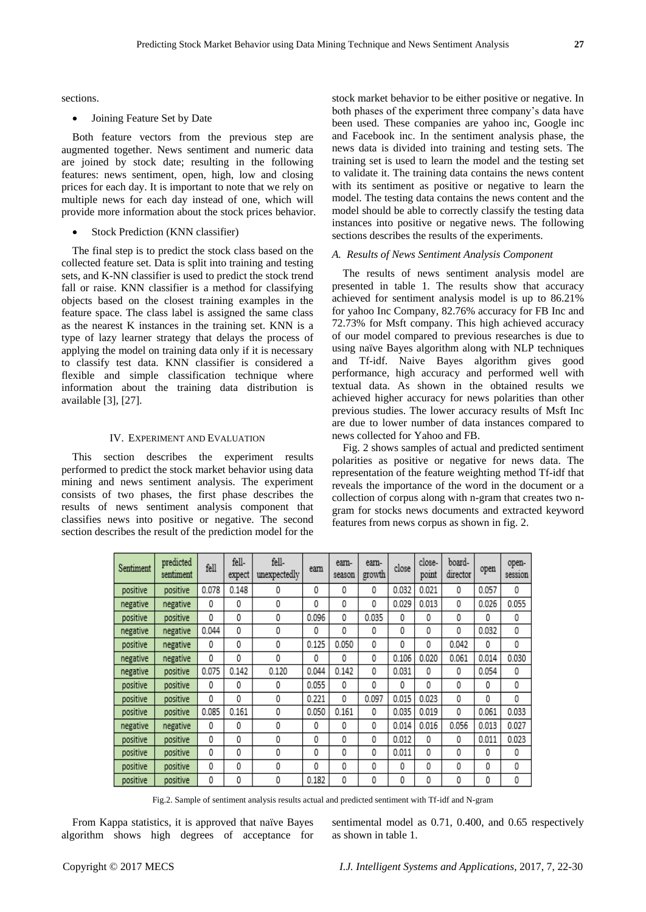sections.

Joining Feature Set by Date

Both feature vectors from the previous step are augmented together. News sentiment and numeric data are joined by stock date; resulting in the following features: news sentiment, open, high, low and closing prices for each day. It is important to note that we rely on multiple news for each day instead of one, which will provide more information about the stock prices behavior.

Stock Prediction (KNN classifier)

The final step is to predict the stock class based on the collected feature set. Data is split into training and testing sets, and K-NN classifier is used to predict the stock trend fall or raise. KNN classifier is a method for classifying objects based on the closest training examples in the feature space. The class label is assigned the same class as the nearest K instances in the training set. KNN is a type of lazy learner strategy that delays the process of applying the model on training data only if it is necessary to classify test data. KNN classifier is considered a flexible and simple classification technique where information about the training data distribution is available [3], [27].

#### IV. EXPERIMENT AND EVALUATION

This section describes the experiment results performed to predict the stock market behavior using data mining and news sentiment analysis. The experiment consists of two phases, the first phase describes the results of news sentiment analysis component that classifies news into positive or negative. The second section describes the result of the prediction model for the

stock market behavior to be either positive or negative. In both phases of the experiment three company's data have been used. These companies are yahoo inc, Google inc and Facebook inc. In the sentiment analysis phase, the news data is divided into training and testing sets. The training set is used to learn the model and the testing set to validate it. The training data contains the news content with its sentiment as positive or negative to learn the model. The testing data contains the news content and the model should be able to correctly classify the testing data instances into positive or negative news. The following sections describes the results of the experiments.

#### *A. Results of News Sentiment Analysis Component*

The results of news sentiment analysis model are presented in table 1. The results show that accuracy achieved for sentiment analysis model is up to 86.21% for yahoo Inc Company, 82.76% accuracy for FB Inc and 72.73% for Msft company. This high achieved accuracy of our model compared to previous researches is due to using na we Bayes algorithm along with NLP techniques and Tf-idf. Naive Bayes algorithm gives good performance, high accuracy and performed well with textual data. As shown in the obtained results we achieved higher accuracy for news polarities than other previous studies. The lower accuracy results of Msft Inc are due to lower number of data instances compared to news collected for Yahoo and FB.

Fig. 2 shows samples of actual and predicted sentiment polarities as positive or negative for news data. The representation of the feature weighting method Tf-idf that reveals the importance of the word in the document or a collection of corpus along with n-gram that creates two ngram for stocks news documents and extracted keyword features from news corpus as shown in fig. 2.

| Sentiment | predicted<br>sentiment | fell  | fell-<br>expect | fell-<br>unexpectedly | earn  | earn-<br>season | earn-<br>growth | close | close-<br>point | board-<br>director | open  | open-<br>session |
|-----------|------------------------|-------|-----------------|-----------------------|-------|-----------------|-----------------|-------|-----------------|--------------------|-------|------------------|
| positive  | positive               | 0.078 | 0.148           | 0                     | 0     | 0               | 0               | 0.032 | 0.021           | 0                  | 0.057 | 0                |
| negative  | negative               | 0     | 0               | 0                     | 0     | 0               | 0               | 0.029 | 0.013           | 0                  | 0.026 | 0.055            |
| positive  | positive               | 0     | 0               | 0                     | 0.096 | 0               | 0.035           | 0     | 0               | 0                  | 0     | 0                |
| negative  | negative               | 0.044 | 0               | 0                     | 0     | 0               | 0               | 0     | 0               | 0                  | 0.032 | 0                |
| positive  | negative               | 0     | 0               | 0                     | 0.125 | 0.050           | 0               | 0     | 0               | 0.042              | 0     | 0                |
| negative  | negative               | 0     | 0               | 0                     | 0     | 0               | 0               | 0.106 | 0.020           | 0.061              | 0.014 | 0.030            |
| negative  | positive               | 0.075 | 0.142           | 0.120                 | 0.044 | 0.142           | 0               | 0.031 | 0               | 0                  | 0.054 | 0                |
| positive  | positive               | 0     | 0               | 0                     | 0.055 | 0               | 0               | 0     | 0               | 0                  | 0     | 0                |
| positive  | positive               | 0     | 0               | 0                     | 0.221 | 0               | 0.097           | 0.015 | 0.023           | 0                  | 0     | ٥                |
| positive  | positive               | 0.085 | 0.161           | 0                     | 0.050 | 0.161           | 0               | 0.035 | 0.019           | 0                  | 0.061 | 0.033            |
| negative  | negative               | 0     | 0               | 0                     | 0     | 0               | 0               | 0.014 | 0.016           | 0.056              | 0.013 | 0.027            |
| positive  | positive               | 0     | 0               | 0                     | 0     | 0               | 0               | 0.012 | 0               | 0                  | 0.011 | 0.023            |
| positive  | positive               | 0     | 0               | 0                     | 0     | 0               | 0               | 0.011 | 0               | 0                  | 0     | 0                |
| positive  | positive               | 0     | 0               | 0                     | 0     | 0               | 0               | 0     | 0               | 0                  | 0     | 0                |
| positive  | positive               | 0     | 0               | 0                     | 0.182 | 0               | 0               | 0     | 0               | 0                  | 0     | 0                |

Fig.2. Sample of sentiment analysis results actual and predicted sentiment with Tf-idf and N-gram

From Kappa statistics, it is approved that na  $\ddot{v}$ e Bayes algorithm shows high degrees of acceptance for

sentimental model as 0.71, 0.400, and 0.65 respectively as shown in table 1.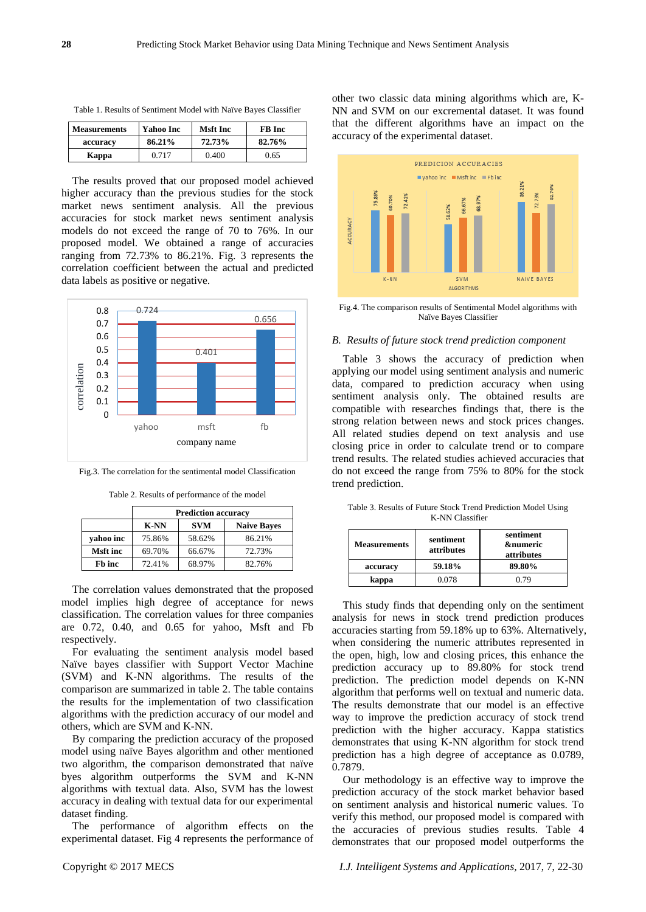| Table 1. Results of Sentiment Model with Na ve Bayes Classifier |  |  |
|-----------------------------------------------------------------|--|--|
|-----------------------------------------------------------------|--|--|

| <b>Measurements</b> | Yahoo Inc | Msft Inc | <b>FB</b> Inc |
|---------------------|-----------|----------|---------------|
| accuracy            | 86.21%    | 72.73%   | 82.76%        |
| Kappa               | 0.717     | 0.400    | 0.65          |

The results proved that our proposed model achieved higher accuracy than the previous studies for the stock market news sentiment analysis. All the previous accuracies for stock market news sentiment analysis models do not exceed the range of 70 to 76%. In our proposed model. We obtained a range of accuracies ranging from 72.73% to 86.21%. Fig. 3 represents the correlation coefficient between the actual and predicted data labels as positive or negative.



Fig.3. The correlation for the sentimental model Classification

Table 2. Results of performance of the model

|                 | <b>Prediction accuracy</b>                      |        |        |  |  |
|-----------------|-------------------------------------------------|--------|--------|--|--|
|                 | <b>SVM</b><br><b>Naive Baves</b><br><b>K-NN</b> |        |        |  |  |
| vahoo inc       | 75.86%                                          | 58.62% | 86.21% |  |  |
| <b>Msft</b> inc | 69.70%                                          | 66.67% | 72.73% |  |  |
| Fb inc          | 72.41%                                          | 68.97% | 82.76% |  |  |

The correlation values demonstrated that the proposed model implies high degree of acceptance for news classification. The correlation values for three companies are 0.72, 0.40, and 0.65 for yahoo, Msft and Fb respectively.

For evaluating the sentiment analysis model based Na üve bayes classifier with Support Vector Machine (SVM) and K-NN algorithms. The results of the comparison are summarized in table 2. The table contains the results for the implementation of two classification algorithms with the prediction accuracy of our model and others, which are SVM and K-NN.

By comparing the prediction accuracy of the proposed model using na we Bayes algorithm and other mentioned two algorithm, the comparison demonstrated that naïve byes algorithm outperforms the SVM and K-NN algorithms with textual data. Also, SVM has the lowest accuracy in dealing with textual data for our experimental dataset finding.

The performance of algorithm effects on the experimental dataset. Fig 4 represents the performance of other two classic data mining algorithms which are, K-NN and SVM on our excremental dataset. It was found that the different algorithms have an impact on the accuracy of the experimental dataset.



Fig.4. The comparison results of Sentimental Model algorithms with Naïve Bayes Classifier

#### *B. Results of future stock trend prediction component*

Table 3 shows the accuracy of prediction when applying our model using sentiment analysis and numeric data, compared to prediction accuracy when using sentiment analysis only. The obtained results are compatible with researches findings that, there is the strong relation between news and stock prices changes. All related studies depend on text analysis and use closing price in order to calculate trend or to compare trend results. The related studies achieved accuracies that do not exceed the range from 75% to 80% for the stock trend prediction.

Table 3. Results of Future Stock Trend Prediction Model Using K-NN Classifier

| <b>Measurements</b> | sentiment<br>attributes | sentiment<br><b>&amp;numeric</b><br>attributes |  |  |
|---------------------|-------------------------|------------------------------------------------|--|--|
| accuracy            | 59.18%                  | 89.80%                                         |  |  |
| kappa               | 0.078                   | በ 79                                           |  |  |

This study finds that depending only on the sentiment analysis for news in stock trend prediction produces accuracies starting from 59.18% up to 63%. Alternatively, when considering the numeric attributes represented in the open, high, low and closing prices, this enhance the prediction accuracy up to 89.80% for stock trend prediction. The prediction model depends on K-NN algorithm that performs well on textual and numeric data. The results demonstrate that our model is an effective way to improve the prediction accuracy of stock trend prediction with the higher accuracy. Kappa statistics demonstrates that using K-NN algorithm for stock trend prediction has a high degree of acceptance as 0.0789, 0.7879.

Our methodology is an effective way to improve the prediction accuracy of the stock market behavior based on sentiment analysis and historical numeric values. To verify this method, our proposed model is compared with the accuracies of previous studies results. Table 4 demonstrates that our proposed model outperforms the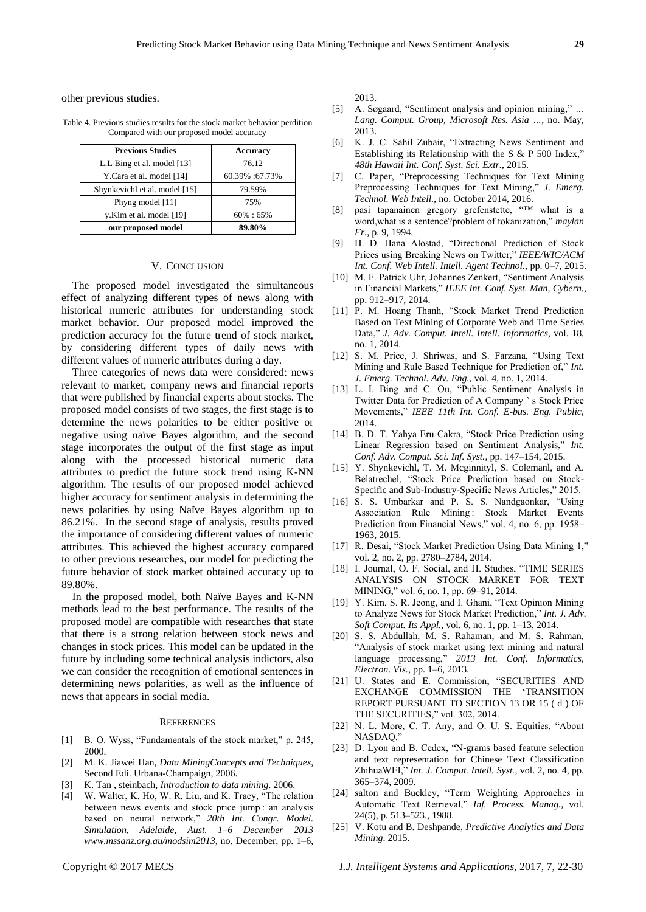other previous studies.

Table 4. Previous studies results for the stock market behavior perdition Compared with our proposed model accuracy

| <b>Previous Studies</b>       | <b>Accuracy</b> |  |  |
|-------------------------------|-----------------|--|--|
| L.L Bing et al. model [13]    | 76.12           |  |  |
| Y.Cara et al. model [14]      | 60.39% :67.73%  |  |  |
| Shynkevichl et al. model [15] | 79.59%          |  |  |
| Phyng model [11]              | 75%             |  |  |
| y.Kim et al. model [19]       | $60\% : 65\%$   |  |  |
| our proposed model            | 89.80%          |  |  |

#### V. CONCLUSION

The proposed model investigated the simultaneous effect of analyzing different types of news along with historical numeric attributes for understanding stock market behavior. Our proposed model improved the prediction accuracy for the future trend of stock market, by considering different types of daily news with different values of numeric attributes during a day.

Three categories of news data were considered: news relevant to market, company news and financial reports that were published by financial experts about stocks. The proposed model consists of two stages, the first stage is to determine the news polarities to be either positive or negative using naïve Bayes algorithm, and the second stage incorporates the output of the first stage as input along with the processed historical numeric data attributes to predict the future stock trend using K-NN algorithm. The results of our proposed model achieved higher accuracy for sentiment analysis in determining the news polarities by using Naïve Bayes algorithm up to 86.21%. In the second stage of analysis, results proved the importance of considering different values of numeric attributes. This achieved the highest accuracy compared to other previous researches, our model for predicting the future behavior of stock market obtained accuracy up to 89.80%.

In the proposed model, both Naïve Bayes and K-NN methods lead to the best performance. The results of the proposed model are compatible with researches that state that there is a strong relation between stock news and changes in stock prices. This model can be updated in the future by including some technical analysis indictors, also we can consider the recognition of emotional sentences in determining news polarities, as well as the influence of news that appears in social media.

#### **REFERENCES**

- [1] B. O. Wyss, "Fundamentals of the stock market," p. 245, 2000.
- [2] M. K. Jiawei Han, *Data MiningConcepts and Techniques*, Second Edi. Urbana-Champaign, 2006.
- [3] K. Tan , steinbach, *Introduction to data mining*. 2006.
- [4] W. Walter, K. Ho, W. R. Liu, and K. Tracy, "The relation between news events and stock price jump : an analysis based on neural network," 20th Int. Congr. Model. *Simulation, Adelaide, Aust. 1–6 December 2013 www.mssanz.org.au/modsim2013*, no. December, pp. 1–6,

2013.

- [5] A. Søgaard, "Sentiment analysis and opinion mining," ... *Lang. Comput. Group, Microsoft Res. Asia …*, no. May, 2013.
- [6] K. J. C. Sahil Zubair, "Extracting News Sentiment and Establishing its Relationship with the S  $&$  P 500 Index," *48th Hawaii Int. Conf. Syst. Sci. Extr.*, 2015.
- [7] C. Paper, "Preprocessing Techniques for Text Mining Preprocessing Techniques for Text Mining," *J. Emerg. Technol. Web Intell.*, no. October 2014, 2016.
- [8] pasi tapanainen gregory grefenstette,  $T_M$  what is a word,what is a sentence?problem of tokanization," *maylan Fr.*, p. 9, 1994.
- [9] H. D. Hana Alostad, "Directional Prediction of Stock Prices using Breaking News on Twitter," IEEE/WIC/ACM *Int. Conf. Web Intell. Intell. Agent Technol.*, pp. 0–7, 2015.
- [10] M. F. Patrick Uhr, Johannes Zenkert, "Sentiment Analysis in Financial Markets," IEEE Int. Conf. Syst. Man, Cybern., pp. 912–917, 2014.
- [11] P. M. Hoang Thanh, "Stock Market Trend Prediction Based on Text Mining of Corporate Web and Time Series Data," *J. Adv. Comput. Intell. Intell. Informatics*, vol. 18, no. 1, 2014.
- [12] S. M. Price, J. Shriwas, and S. Farzana, "Using Text" Mining and Rule Based Technique for Prediction of," *Int. J. Emerg. Technol. Adv. Eng.*, vol. 4, no. 1, 2014.
- [13] L. I. Bing and C. Ou, "Public Sentiment Analysis in Twitter Data for Prediction of A Company ' s Stock Price Movements,‖ *IEEE 11th Int. Conf. E-bus. Eng. Public*, 2014.
- [14] B. D. T. Yahya Eru Cakra, "Stock Price Prediction using Linear Regression based on Sentiment Analysis," *Int. Conf. Adv. Comput. Sci. Inf. Syst.*, pp. 147–154, 2015.
- [15] Y. Shynkevichl, T. M. Mcginnityl, S. Colemanl, and A. Belatrechel, "Stock Price Prediction based on Stock-Specific and Sub-Industry-Specific News Articles," 2015.
- [16] S. S. Umbarkar and P. S. S. Nandgaonkar, "Using Association Rule Mining : Stock Market Events Prediction from Financial News," vol. 4, no. 6, pp. 1958– 1963, 2015.
- [17] R. Desai, "Stock Market Prediction Using Data Mining 1," vol. 2, no. 2, pp. 2780–2784, 2014.
- [18] I. Journal, O. F. Social, and H. Studies, "TIME SERIES ANALYSIS ON STOCK MARKET FOR TEXT MINING," vol. 6, no. 1, pp. 69-91, 2014.
- [19] Y. Kim, S. R. Jeong, and I. Ghani, "Text Opinion Mining to Analyze News for Stock Market Prediction," Int. J. Adv. *Soft Comput. Its Appl.*, vol. 6, no. 1, pp. 1–13, 2014.
- [20] S. S. Abdullah, M. S. Rahaman, and M. S. Rahman, ―Analysis of stock market using text mining and natural language processing," 2013 Int. Conf. Informatics, *Electron. Vis.*, pp. 1–6, 2013.
- [21] U. States and E. Commission, "SECURITIES AND EXCHANGE COMMISSION THE 'TRANSITION REPORT PURSUANT TO SECTION 13 OR 15 ( d ) OF THE SECURITIES," vol. 302, 2014.
- [22] N. L. More, C. T. Any, and O. U. S. Equities, "About NASDAQ.'
- [23] D. Lyon and B. Cedex, "N-grams based feature selection and text representation for Chinese Text Classification ZhihuaWEI," *Int. J. Comput. Intell. Syst.*, vol. 2, no. 4, pp. 365–374, 2009.
- [24] salton and Buckley, "Term Weighting Approaches in Automatic Text Retrieval," Inf. Process. Manag., vol. 24(5), p. 513–523., 1988.
- [25] V. Kotu and B. Deshpande, *Predictive Analytics and Data Mining*. 2015.